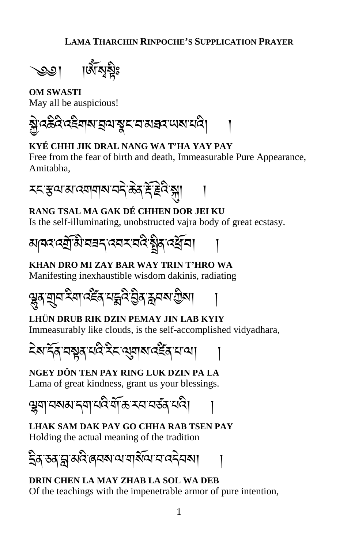

**OM SWASTI** May all be auspicious!

�ེ་འཆིའི་འཇིགས་�ལ་�ང་བ་མཐའ་ཡས་པའི། །

## **KYÉ CHHI JIK DRAL NANG WA T'HA YAY PAY**

Free from the fear of birth and death, Immeasurable Pure Appearance, Amitabha,



**RANG TSAL MA GAK DÉ CHHEN DOR JEI KU** Is the self-illuminating, unobstructed vajra body of great ecstasy.



## **KHAN DRO MI ZAY BAR WAY TRIN T'HRO WA**

Manifesting inexhaustible wisdom dakinis, radiating

��ན་��བ་རིག་འཛ�ན་པ�འི་�ིན་�བས་�ིས། །

## **LHÜN DRUB RIK DZIN PEMAY JIN LAB KYIY** Immeasurably like clouds, is the self-accomplished vidyadhara,

ངེས་དོན་བ�ན་པའི་རིང་ལ�གས་འཛ�ན་པ་ལ། །

**NGEY DÖN TEN PAY RING LUK DZIN PA LA** Lama of great kindness, grant us your blessings.

�ག་བསམ་དག་པའི་གོ་ཆ་རབ་བཙན་པའི། །

**LHAK SAM DAK PAY GO CHHA RAB TSEN PAY** Holding the actual meaning of the tradition

�ིན་ཅན་�་མའི་ཞབས་ལ་གསོལ་བ་འདེབས། །

## **DRIN CHEN LA MAY ZHAB LA SOL WA DEB** Of the teachings with the impenetrable armor of pure intention,